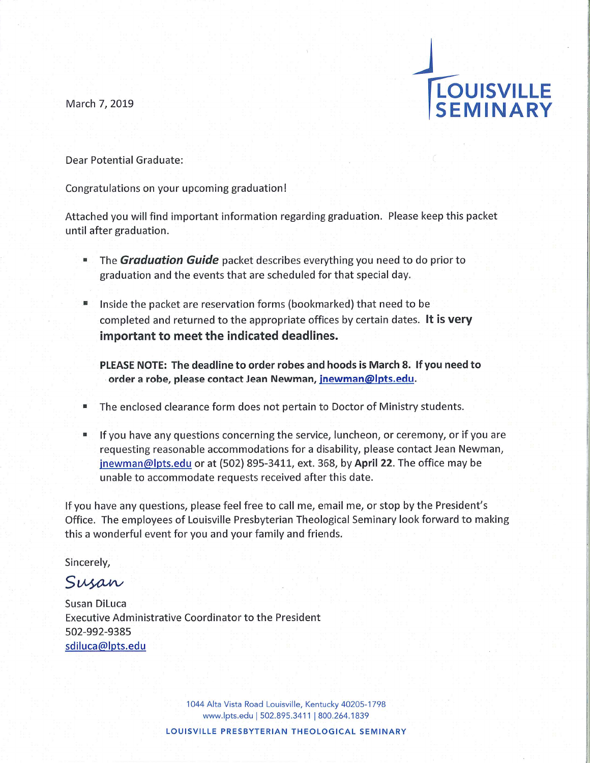March 7, 2019



Dear Potential Graduate:

Congratulations on your upcoming graduation!

Attached you will find important information regarding graduation. Please keep this packet until after graduation.

- **If the Graduation Guide** packet describes everything you need to do prior to graduation and the events that are scheduled for that special day.
- Inside the packet are reservation forms (bookmarked) that need to be B completed and returned to the appropriate offices by certain dates. It is very important to meet the indicated deadlines.

PLEASE NOTE: The deadline to order robes and hoods is March 8. If you need to order a robe, please contact Jean Newman, jnewman@lpts.edu.

- The enclosed clearance form does not pertain to Doctor of Ministry students. 厦
- If you have any questions concerning the service, luncheon, or ceremony, or if you are requesting reasonable accommodations for a disability, please contact Jean Newman, jnewman@lpts.edu or at (502) 895-3411, ext. 368, by April 22. The office may be unable to accommodate requests received after this date.

If you have any questions, please feel free to call me, email me, or stop by the President's Office. The employees of Louisville Presbyterian Theological Seminary look forward to making this a wonderful event for you and your family and friends.

Sincerely,

Susan

**Susan DiLuca Executive Administrative Coordinator to the President** 502-992-9385 sdiluca@lpts.edu

> 1044 Alta Vista Road Louisville, Kentucky 40205-1798 www.lpts.edu | 502.895.3411 | 800.264.1839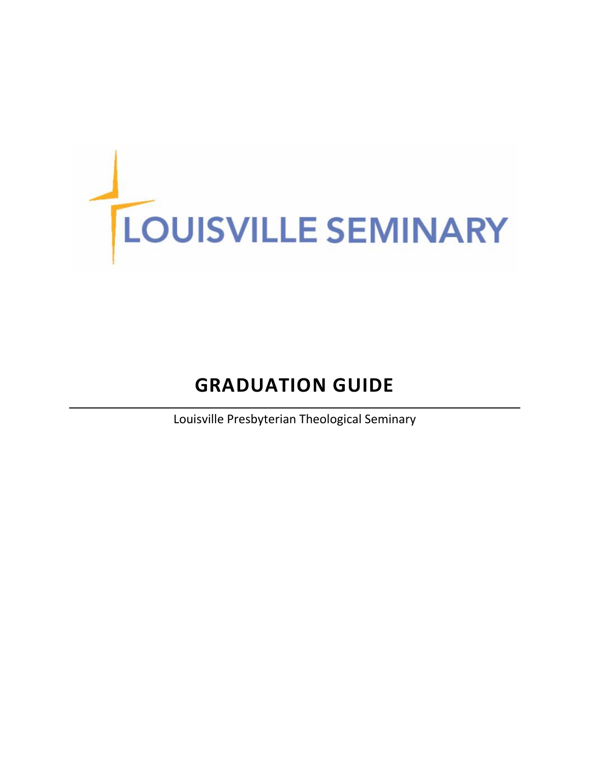

# **GRADUATION GUIDE**

Louisville Presbyterian Theological Seminary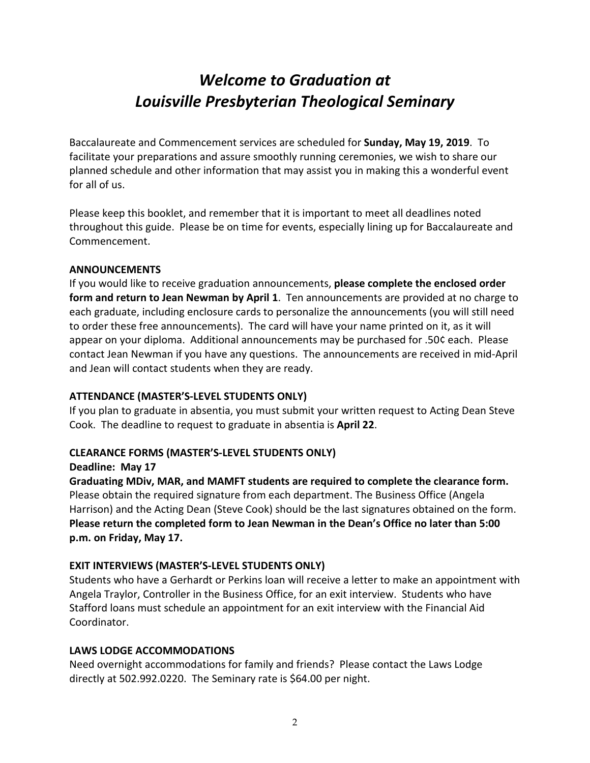# *Welcome to Graduation at Louisville Presbyterian Theological Seminary*

Baccalaureate and Commencement services are scheduled for **Sunday, May 19, 2019**. To facilitate your preparations and assure smoothly running ceremonies, we wish to share our planned schedule and other information that may assist you in making this a wonderful event for all of us.

Please keep this booklet, and remember that it is important to meet all deadlines noted throughout this guide. Please be on time for events, especially lining up for Baccalaureate and Commencement.

### **ANNOUNCEMENTS**

If you would like to receive graduation announcements, **please complete the enclosed order form and return to Jean Newman by April 1**. Ten announcements are provided at no charge to each graduate, including enclosure cards to personalize the announcements (you will still need to order these free announcements). The card will have your name printed on it, as it will appear on your diploma. Additional announcements may be purchased for .50¢ each. Please contact Jean Newman if you have any questions. The announcements are received in mid-April and Jean will contact students when they are ready.

### **ATTENDANCE (MASTER'S-LEVEL STUDENTS ONLY)**

If you plan to graduate in absentia, you must submit your written request to Acting Dean Steve Cook. The deadline to request to graduate in absentia is **April 22**.

### **CLEARANCE FORMS (MASTER'S-LEVEL STUDENTS ONLY)**

#### **Deadline: May 17**

**Graduating MDiv, MAR, and MAMFT students are required to complete the clearance form.** Please obtain the required signature from each department. The Business Office (Angela Harrison) and the Acting Dean (Steve Cook) should be the last signatures obtained on the form. **Please return the completed form to Jean Newman in the Dean's Office no later than 5:00 p.m. on Friday, May 17.**

### **EXIT INTERVIEWS (MASTER'S-LEVEL STUDENTS ONLY)**

Students who have a Gerhardt or Perkins loan will receive a letter to make an appointment with Angela Traylor, Controller in the Business Office, for an exit interview. Students who have Stafford loans must schedule an appointment for an exit interview with the Financial Aid Coordinator.

### **LAWS LODGE ACCOMMODATIONS**

Need overnight accommodations for family and friends? Please contact the Laws Lodge directly at 502.992.0220. The Seminary rate is \$64.00 per night.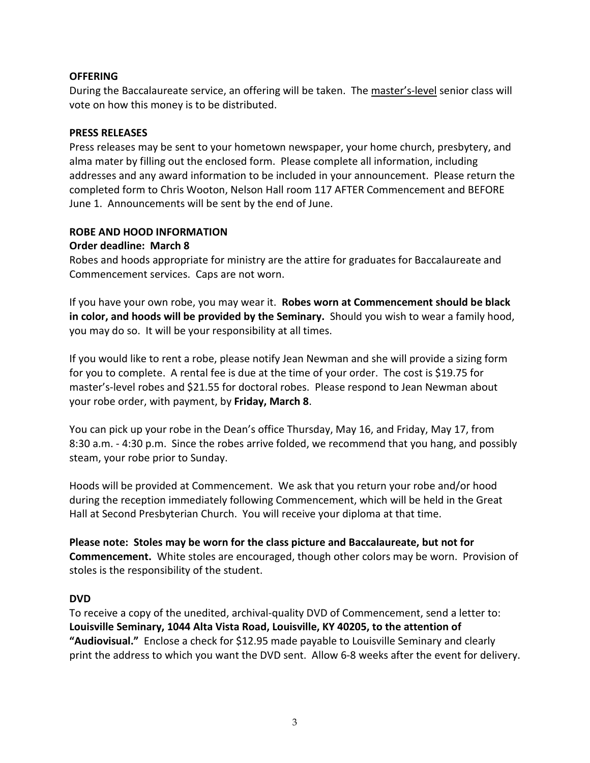#### **OFFERING**

During the Baccalaureate service, an offering will be taken. The master's-level senior class will vote on how this money is to be distributed.

#### **PRESS RELEASES**

Press releases may be sent to your hometown newspaper, your home church, presbytery, and alma mater by filling out the enclosed form. Please complete all information, including addresses and any award information to be included in your announcement. Please return the completed form to Chris Wooton, Nelson Hall room 117 AFTER Commencement and BEFORE June 1. Announcements will be sent by the end of June.

#### **ROBE AND HOOD INFORMATION**

#### **Order deadline: March 8**

Robes and hoods appropriate for ministry are the attire for graduates for Baccalaureate and Commencement services. Caps are not worn.

If you have your own robe, you may wear it. **Robes worn at Commencement should be black in color, and hoods will be provided by the Seminary.** Should you wish to wear a family hood, you may do so. It will be your responsibility at all times.

If you would like to rent a robe, please notify Jean Newman and she will provide a sizing form for you to complete. A rental fee is due at the time of your order. The cost is \$19.75 for master's-level robes and \$21.55 for doctoral robes. Please respond to Jean Newman about your robe order, with payment, by **Friday, March 8**.

You can pick up your robe in the Dean's office Thursday, May 16, and Friday, May 17, from 8:30 a.m. - 4:30 p.m. Since the robes arrive folded, we recommend that you hang, and possibly steam, your robe prior to Sunday.

Hoods will be provided at Commencement. We ask that you return your robe and/or hood during the reception immediately following Commencement, which will be held in the Great Hall at Second Presbyterian Church. You will receive your diploma at that time.

**Please note: Stoles may be worn for the class picture and Baccalaureate, but not for Commencement.** White stoles are encouraged, though other colors may be worn. Provision of stoles is the responsibility of the student.

#### **DVD**

To receive a copy of the unedited, archival-quality DVD of Commencement, send a letter to: **Louisville Seminary, 1044 Alta Vista Road, Louisville, KY 40205, to the attention of "Audiovisual."** Enclose a check for \$12.95 made payable to Louisville Seminary and clearly print the address to which you want the DVD sent. Allow 6-8 weeks after the event for delivery.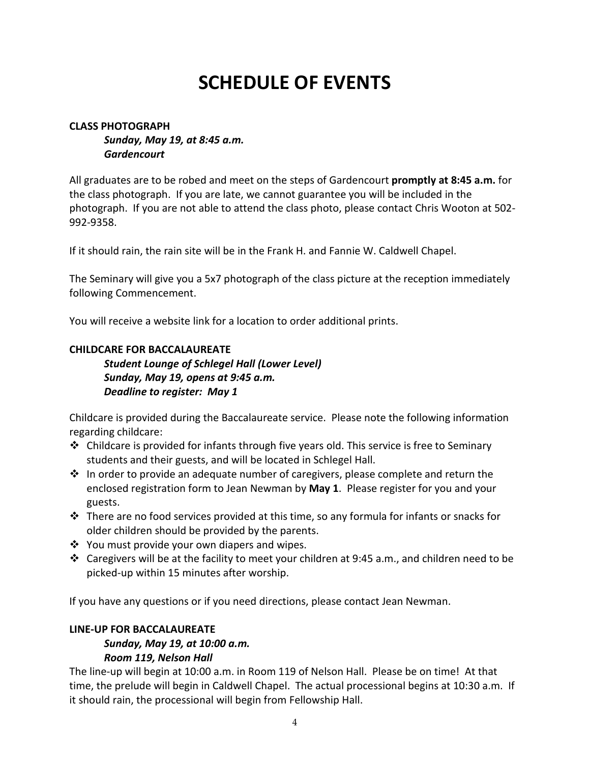# **SCHEDULE OF EVENTS**

## **CLASS PHOTOGRAPH** *Sunday, May 19, at 8:45 a.m. Gardencourt*

All graduates are to be robed and meet on the steps of Gardencourt **promptly at 8:45 a.m.** for the class photograph. If you are late, we cannot guarantee you will be included in the photograph. If you are not able to attend the class photo, please contact Chris Wooton at 502- 992-9358.

If it should rain, the rain site will be in the Frank H. and Fannie W. Caldwell Chapel.

The Seminary will give you a 5x7 photograph of the class picture at the reception immediately following Commencement.

You will receive a website link for a location to order additional prints.

#### **CHILDCARE FOR BACCALAUREATE**

*Student Lounge of Schlegel Hall (Lower Level) Sunday, May 19, opens at 9:45 a.m. Deadline to register: May 1*

Childcare is provided during the Baccalaureate service. Please note the following information regarding childcare:

- $\cdot \cdot$  Childcare is provided for infants through five years old. This service is free to Seminary students and their guests, and will be located in Schlegel Hall.
- $\cdot \cdot$  In order to provide an adequate number of caregivers, please complete and return the enclosed registration form to Jean Newman by **May 1**. Please register for you and your guests.
- $\cdot \cdot$  There are no food services provided at this time, so any formula for infants or snacks for older children should be provided by the parents.
- $\triangleq$  You must provide your own diapers and wipes.
- Caregivers will be at the facility to meet your children at 9:45 a.m., and children need to be picked-up within 15 minutes after worship.

If you have any questions or if you need directions, please contact Jean Newman.

#### **LINE-UP FOR BACCALAUREATE**

*Sunday, May 19, at 10:00 a.m. Room 119, Nelson Hall*

The line-up will begin at 10:00 a.m. in Room 119 of Nelson Hall. Please be on time! At that time, the prelude will begin in Caldwell Chapel. The actual processional begins at 10:30 a.m. If it should rain, the processional will begin from Fellowship Hall.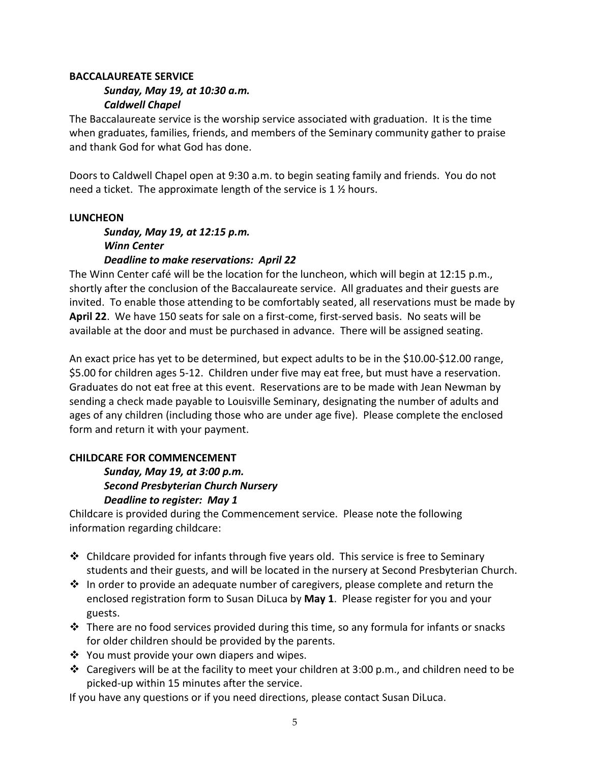### **BACCALAUREATE SERVICE** *Sunday, May 19, at 10:30 a.m. Caldwell Chapel*

The Baccalaureate service is the worship service associated with graduation. It is the time when graduates, families, friends, and members of the Seminary community gather to praise and thank God for what God has done.

Doors to Caldwell Chapel open at 9:30 a.m. to begin seating family and friends. You do not need a ticket. The approximate length of the service is 1 ½ hours.

## **LUNCHEON**

## *Sunday, May 19, at 12:15 p.m. Winn Center Deadline to make reservations: April 22*

The Winn Center café will be the location for the luncheon, which will begin at 12:15 p.m., shortly after the conclusion of the Baccalaureate service. All graduates and their guests are invited. To enable those attending to be comfortably seated, all reservations must be made by **April 22**. We have 150 seats for sale on a first-come, first-served basis. No seats will be available at the door and must be purchased in advance. There will be assigned seating.

An exact price has yet to be determined, but expect adults to be in the \$10.00-\$12.00 range, \$5.00 for children ages 5-12. Children under five may eat free, but must have a reservation. Graduates do not eat free at this event. Reservations are to be made with Jean Newman by sending a check made payable to Louisville Seminary, designating the number of adults and ages of any children (including those who are under age five). Please complete the enclosed form and return it with your payment.

## **CHILDCARE FOR COMMENCEMENT**

## *Sunday, May 19, at 3:00 p.m. Second Presbyterian Church Nursery Deadline to register: May 1*

Childcare is provided during the Commencement service. Please note the following information regarding childcare:

- Childcare provided for infants through five years old. This service is free to Seminary students and their guests, and will be located in the nursery at Second Presbyterian Church.
- $\cdot \cdot$  In order to provide an adequate number of caregivers, please complete and return the enclosed registration form to Susan DiLuca by **May 1**. Please register for you and your guests.
- $\cdot \cdot$  There are no food services provided during this time, so any formula for infants or snacks for older children should be provided by the parents.
- $\triangleq$  You must provide your own diapers and wipes.
- Caregivers will be at the facility to meet your children at 3:00 p.m., and children need to be picked-up within 15 minutes after the service.

If you have any questions or if you need directions, please contact Susan DiLuca.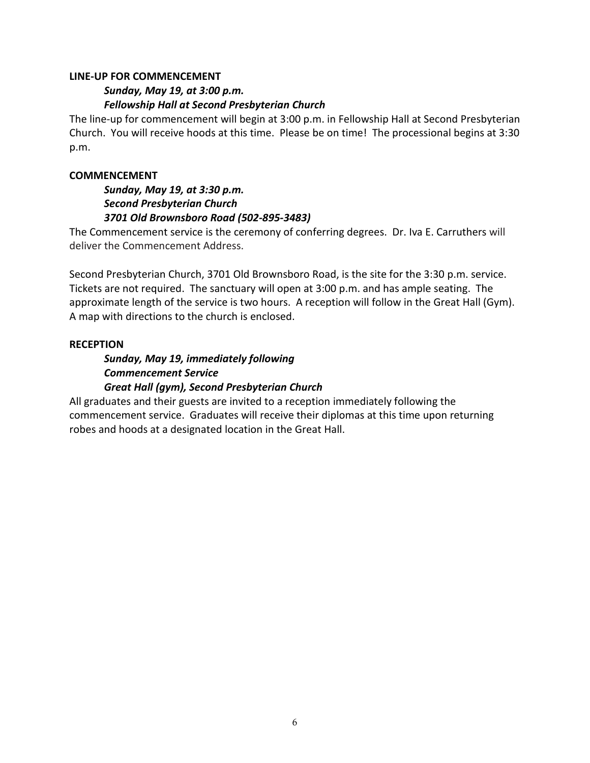#### **LINE-UP FOR COMMENCEMENT**

### *Sunday, May 19, at 3:00 p.m. Fellowship Hall at Second Presbyterian Church*

The line-up for commencement will begin at 3:00 p.m. in Fellowship Hall at Second Presbyterian Church. You will receive hoods at this time. Please be on time! The processional begins at 3:30 p.m.

#### **COMMENCEMENT**

*Sunday, May 19, at 3:30 p.m. Second Presbyterian Church 3701 Old Brownsboro Road (502-895-3483)*

The Commencement service is the ceremony of conferring degrees. Dr. Iva E. Carruthers will deliver the Commencement Address.

Second Presbyterian Church, 3701 Old Brownsboro Road, is the site for the 3:30 p.m. service. Tickets are not required. The sanctuary will open at 3:00 p.m. and has ample seating. The approximate length of the service is two hours. A reception will follow in the Great Hall (Gym). A map with directions to the church is enclosed.

#### **RECEPTION**

#### *Sunday, May 19, immediately following Commencement Service Great Hall (gym), Second Presbyterian Church*

All graduates and their guests are invited to a reception immediately following the commencement service. Graduates will receive their diplomas at this time upon returning robes and hoods at a designated location in the Great Hall.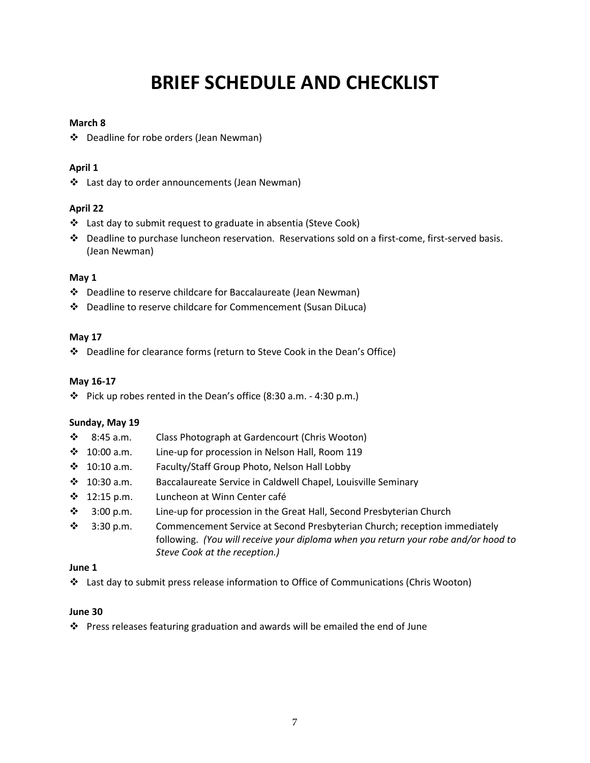# **BRIEF SCHEDULE AND CHECKLIST**

#### **March 8**

Deadline for robe orders (Jean Newman)

#### **April 1**

Last day to order announcements (Jean Newman)

#### **April 22**

- Last day to submit request to graduate in absentia (Steve Cook)
- Deadline to purchase luncheon reservation. Reservations sold on a first-come, first-served basis. (Jean Newman)

#### **May 1**

- Deadline to reserve childcare for Baccalaureate (Jean Newman)
- Deadline to reserve childcare for Commencement (Susan DiLuca)

#### **May 17**

Deadline for clearance forms (return to Steve Cook in the Dean's Office)

#### **May 16-17**

Pick up robes rented in the Dean's office (8:30 a.m. - 4:30 p.m.)

#### **Sunday, May 19**

| 樂 | 8:45 a.m.         | Class Photograph at Gardencourt (Chris Wooton)                                                                                                                                                   |
|---|-------------------|--------------------------------------------------------------------------------------------------------------------------------------------------------------------------------------------------|
|   | $\div$ 10:00 a.m. | Line-up for procession in Nelson Hall, Room 119                                                                                                                                                  |
|   | $\div$ 10:10 a.m. | Faculty/Staff Group Photo, Nelson Hall Lobby                                                                                                                                                     |
|   | $\div$ 10:30 a.m. | Baccalaureate Service in Caldwell Chapel, Louisville Seminary                                                                                                                                    |
|   | $\div$ 12:15 p.m. | Luncheon at Winn Center café                                                                                                                                                                     |
| ❖ | 3:00 p.m.         | Line-up for procession in the Great Hall, Second Presbyterian Church                                                                                                                             |
| ❖ | 3:30 p.m.         | Commencement Service at Second Presbyterian Church; reception immediately<br>following. (You will receive your diploma when you return your robe and/or hood to<br>Steve Cook at the reception.) |

#### **June 1**

Last day to submit press release information to Office of Communications (Chris Wooton)

#### **June 30**

\* Press releases featuring graduation and awards will be emailed the end of June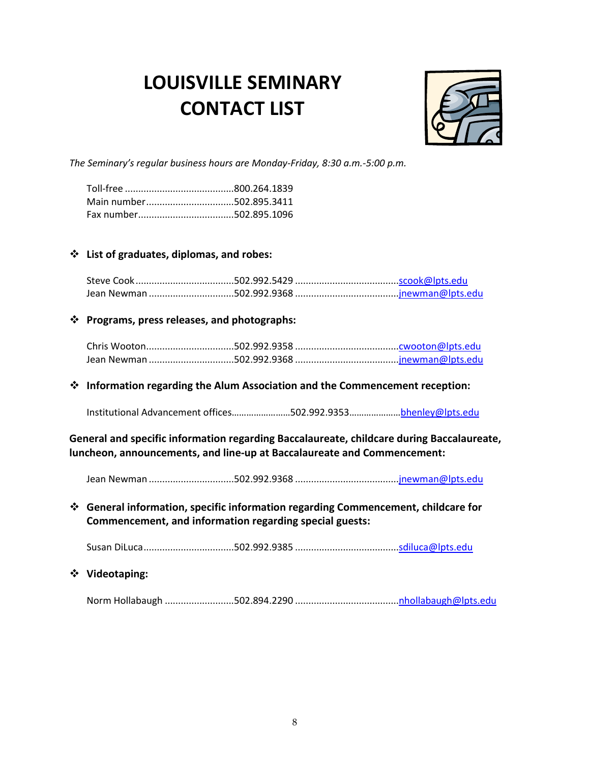# **LOUISVILLE SEMINARY CONTACT LIST**



*The Seminary's regular business hours are Monday-Friday, 8:30 a.m.-5:00 p.m.*

| Main number502.895.3411 |  |
|-------------------------|--|
|                         |  |

#### **List of graduates, diplomas, and robes:**

#### **Programs, press releases, and photographs:**

|  | Jean Newman ……………………………502.992.9368 ……………………………………inewman@lpts.edu |
|--|--------------------------------------------------------------------|

#### **Information regarding the Alum Association and the Commencement reception:**

Institutional Advancement offices……………………502.992.9353………………[…bhenley@lpts.edu](mailto:bhenley@lpts.edu)

**General and specific information regarding Baccalaureate, childcare during Baccalaureate, luncheon, announcements, and line-up at Baccalaureate and Commencement:**

Jean Newman ................................502.992.9368 ......................................[.jnewman@lpts.edu](mailto:jnewman@lpts.edu)

 **General information, specific information regarding Commencement, childcare for Commencement, and information regarding special guests:**

Susan DiLuca..................................502.992.9385 ......................................[.sdiluca@lpts.edu](mailto:sdiluca@lpts.edu)

#### **Videotaping:**

Norm Hollabaugh ..........................502.894.2290 ......................................[.nhollabaugh@lpts.edu](mailto:nhollabaugh@lpts.edu)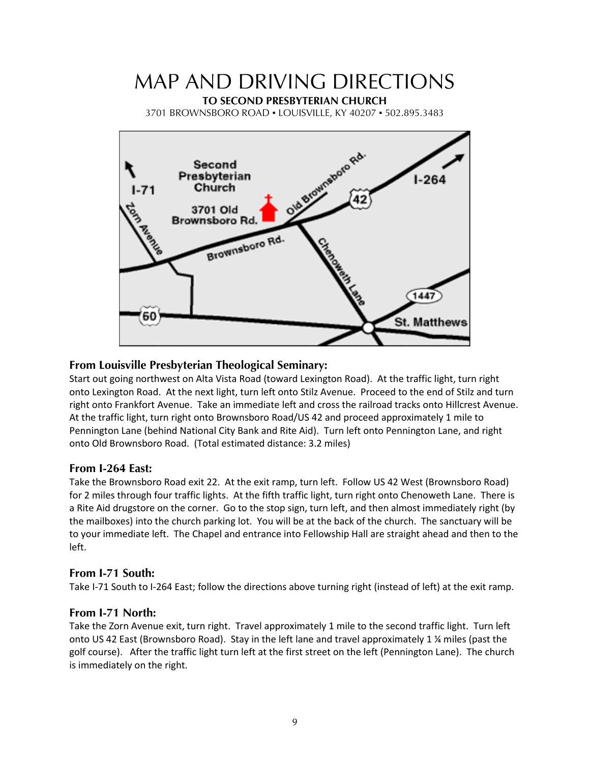## MAP AND DRIVING DIRECTIONS **TO SECOND PRESBYTERIAN CHURCH**

3701 BROWNSBORO ROAD ▪ LOUISVILLE, KY 40207 ▪ 502.895.3483



### **From Louisville Presbyterian Theological Seminary:**

Start out going northwest on Alta Vista Road (toward Lexington Road). At the traffic light, turn right onto Lexington Road. At the next light, turn left onto Stilz Avenue. Proceed to the end of Stilz and turn right onto Frankfort Avenue. Take an immediate left and cross the railroad tracks onto Hillcrest Avenue. At the traffic light, turn right onto Brownsboro Road/US 42 and proceed approximately 1 mile to Pennington Lane (behind National City Bank and Rite Aid). Turn left onto Pennington Lane, and right onto Old Brownsboro Road. (Total estimated distance: 3.2 miles)

#### **From I-264 East:**

Take the Brownsboro Road exit 22. At the exit ramp, turn left. Follow US 42 West (Brownsboro Road) for 2 miles through four traffic lights. At the fifth traffic light, turn right onto Chenoweth Lane. There is a Rite Aid drugstore on the corner. Go to the stop sign, turn left, and then almost immediately right (by the mailboxes) into the church parking lot. You will be at the back of the church. The sanctuary will be to your immediate left. The Chapel and entrance into Fellowship Hall are straight ahead and then to the left.

#### **From I-71 South:**

Take I-71 South to I-264 East; follow the directions above turning right (instead of left) at the exit ramp.

#### **From I-71 North:**

Take the Zorn Avenue exit, turn right. Travel approximately 1 mile to the second traffic light. Turn left onto US 42 East (Brownsboro Road). Stay in the left lane and travel approximately 1 ¼ miles (past the golf course). After the traffic light turn left at the first street on the left (Pennington Lane). The church is immediately on the right.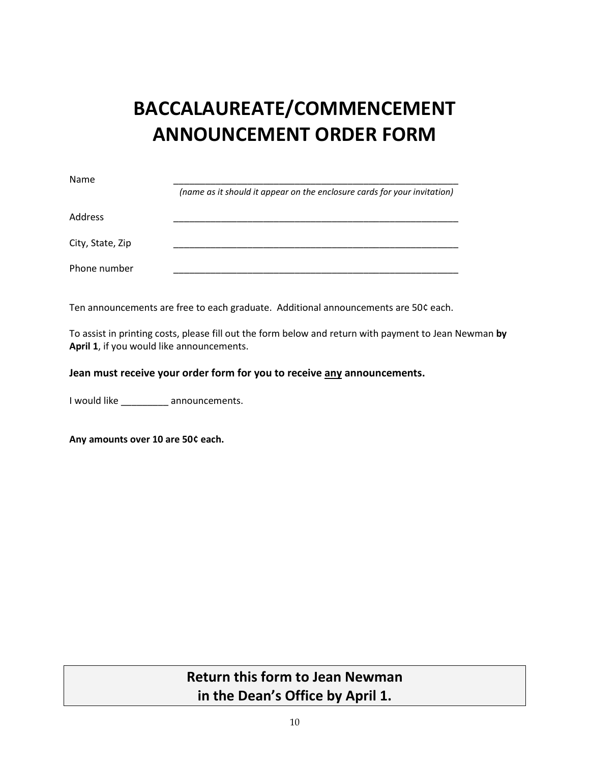# **BACCALAUREATE/COMMENCEMENT ANNOUNCEMENT ORDER FORM**

Name \_\_\_\_\_\_\_\_\_\_\_\_\_\_\_\_\_\_\_\_\_\_\_\_\_\_\_\_\_\_\_\_\_\_\_\_\_\_\_\_\_\_\_\_\_\_\_\_\_\_\_\_\_\_  *(name as it should it appear on the enclosure cards for your invitation)* Address \_\_\_\_\_\_\_\_\_\_\_\_\_\_\_\_\_\_\_\_\_\_\_\_\_\_\_\_\_\_\_\_\_\_\_\_\_\_\_\_\_\_\_\_\_\_\_\_\_\_\_\_\_\_ City, State, Zip Phone number

Ten announcements are free to each graduate. Additional announcements are 50¢ each.

To assist in printing costs, please fill out the form below and return with payment to Jean Newman **by April 1**, if you would like announcements.

#### **Jean must receive your order form for you to receive any announcements.**

I would like \_\_\_\_\_\_\_\_\_ announcements.

**Any amounts over 10 are 50¢ each.**

## **Return this form to Jean Newman in the Dean's Office by April 1.**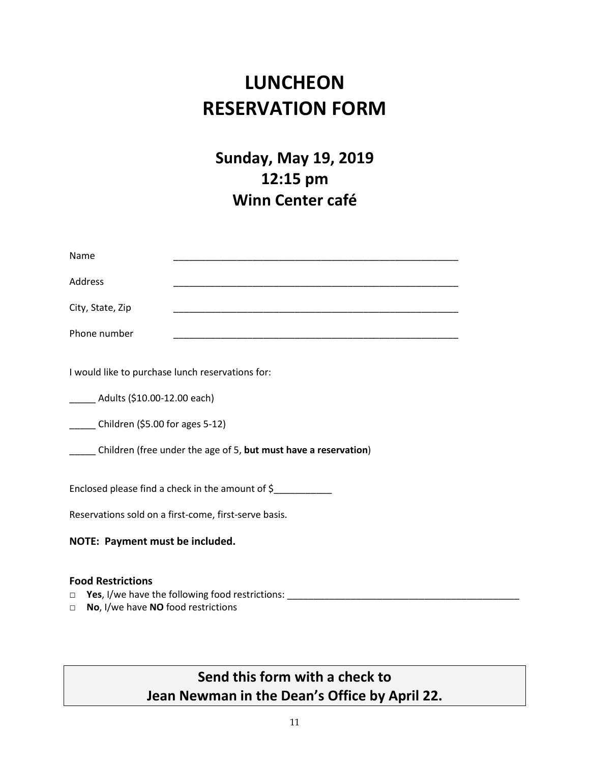# **LUNCHEON RESERVATION FORM**

# **Sunday, May 19, 2019 12:15 pm Winn Center café**

| Name                                                                                                                       |  |  |  |  |
|----------------------------------------------------------------------------------------------------------------------------|--|--|--|--|
| Address                                                                                                                    |  |  |  |  |
| City, State, Zip                                                                                                           |  |  |  |  |
| Phone number                                                                                                               |  |  |  |  |
| I would like to purchase lunch reservations for:<br>______ Adults (\$10.00-12.00 each)<br>Children $(55.00$ for ages 5-12) |  |  |  |  |
| Children (free under the age of 5, but must have a reservation)                                                            |  |  |  |  |
| Enclosed please find a check in the amount of \$                                                                           |  |  |  |  |
| Reservations sold on a first-come, first-serve basis.                                                                      |  |  |  |  |
| NOTE: Payment must be included.                                                                                            |  |  |  |  |

#### **Food Restrictions**

- □ **Yes**, I/we have the following food restrictions: \_\_\_\_\_\_\_\_\_\_\_\_\_\_\_\_\_\_\_\_\_\_\_\_\_\_\_\_\_\_\_\_\_\_\_\_\_\_\_\_\_\_\_\_
- □ **No**, I/we have **NO** food restrictions

# **Send this form with a check to Jean Newman in the Dean's Office by April 22.**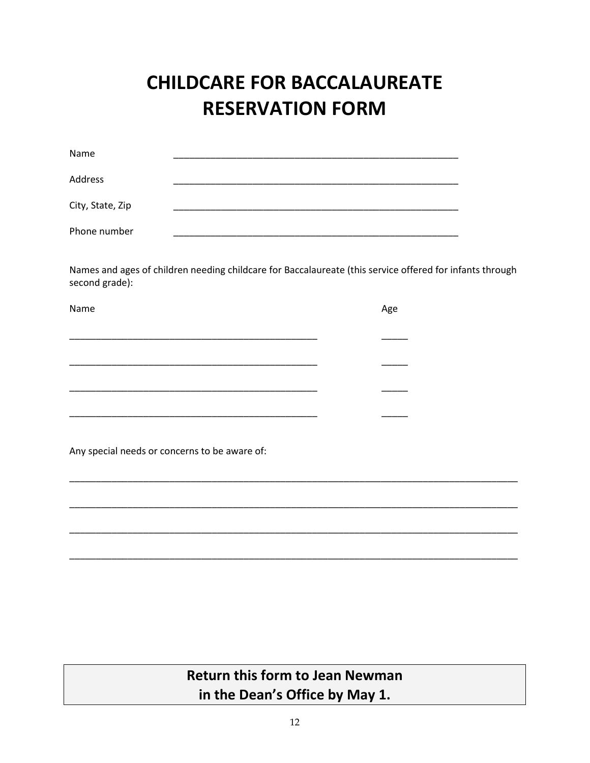# **CHILDCARE FOR BACCALAUREATE RESERVATION FORM**

| Name                                          |                                                                                                          |     |  |
|-----------------------------------------------|----------------------------------------------------------------------------------------------------------|-----|--|
| Address                                       |                                                                                                          |     |  |
| City, State, Zip                              |                                                                                                          |     |  |
| Phone number                                  |                                                                                                          |     |  |
| second grade):                                | Names and ages of children needing childcare for Baccalaureate (this service offered for infants through |     |  |
| Name                                          |                                                                                                          | Age |  |
|                                               |                                                                                                          |     |  |
|                                               |                                                                                                          |     |  |
|                                               |                                                                                                          |     |  |
|                                               |                                                                                                          |     |  |
| Any special needs or concerns to be aware of: |                                                                                                          |     |  |
|                                               |                                                                                                          |     |  |
|                                               |                                                                                                          |     |  |
|                                               |                                                                                                          |     |  |
|                                               |                                                                                                          |     |  |

# **Return this form to Jean Newman** in the Dean's Office by May 1.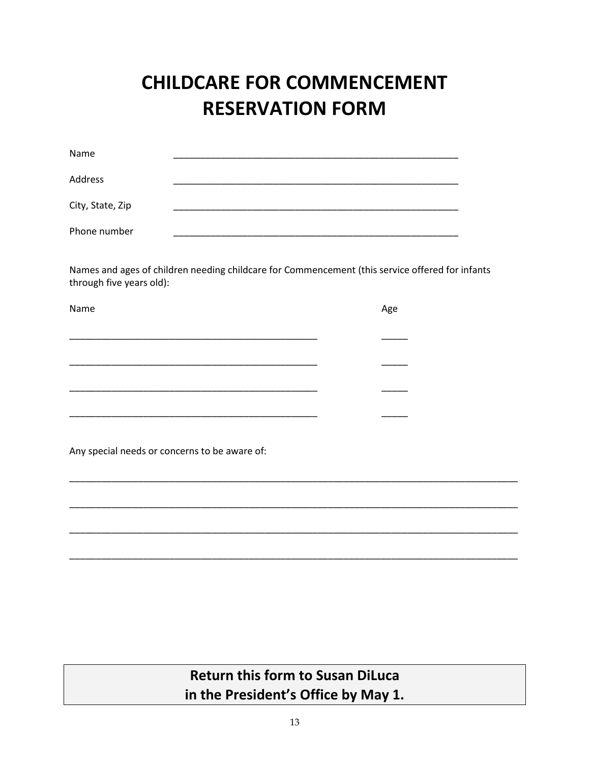# **CHILDCARE FOR COMMENCEMENT RESERVATION FORM**

| Name                                                                                                                        |     |  |
|-----------------------------------------------------------------------------------------------------------------------------|-----|--|
| <b>Address</b>                                                                                                              |     |  |
| City, State, Zip                                                                                                            |     |  |
| Phone number                                                                                                                |     |  |
| Names and ages of children needing childcare for Commencement (this service offered for infants<br>through five years old): |     |  |
| Name                                                                                                                        | Age |  |
|                                                                                                                             |     |  |
|                                                                                                                             |     |  |
|                                                                                                                             |     |  |
|                                                                                                                             |     |  |
| Any special needs or concerns to be aware of:                                                                               |     |  |
|                                                                                                                             |     |  |
|                                                                                                                             |     |  |
|                                                                                                                             |     |  |
|                                                                                                                             |     |  |

# **Return this form to Susan DiLuca** in the President's Office by May 1.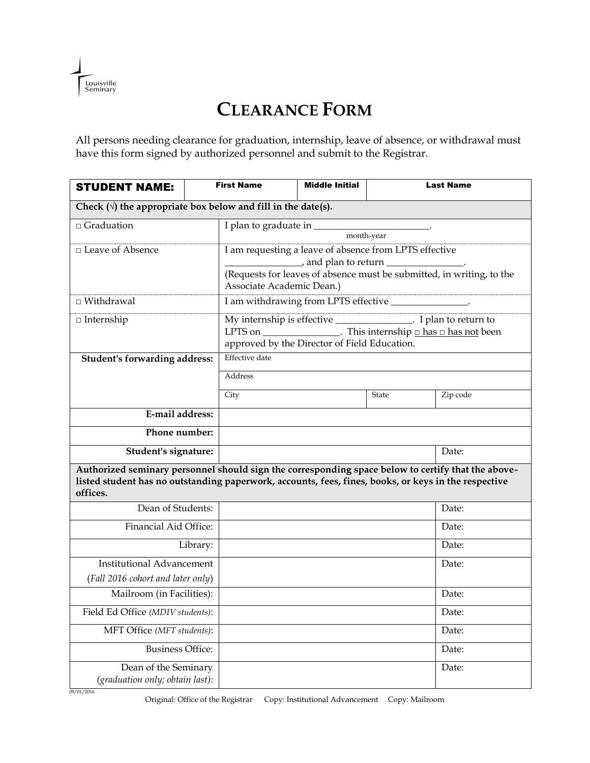

# **CLEARANCE FORM**

All persons needing clearance for graduation, internship, leave of absence, or withdrawal must have this form signed by authorized personnel and submit to the Registrar.

| <b>STUDENT NAME:</b>                                                                                                                                                                                                   | <b>First Name</b>                                                                                                                                                                 | <b>Middle Initial</b>                                                                                                                                                                                          |            | <b>Last Name</b> |  |
|------------------------------------------------------------------------------------------------------------------------------------------------------------------------------------------------------------------------|-----------------------------------------------------------------------------------------------------------------------------------------------------------------------------------|----------------------------------------------------------------------------------------------------------------------------------------------------------------------------------------------------------------|------------|------------------|--|
| Check $(\sqrt{ } )$ the appropriate box below and fill in the date(s).                                                                                                                                                 |                                                                                                                                                                                   |                                                                                                                                                                                                                |            |                  |  |
| $\Box$ Graduation                                                                                                                                                                                                      |                                                                                                                                                                                   |                                                                                                                                                                                                                | month-year |                  |  |
| □ Leave of Absence                                                                                                                                                                                                     |                                                                                                                                                                                   | I am requesting a leave of absence from LPTS effective<br>$\frac{1}{2}$ and plan to return $\frac{1}{2}$<br>(Requests for leaves of absence must be submitted, in writing, to the<br>Associate Academic Dean.) |            |                  |  |
| $\Box$ Withdrawal                                                                                                                                                                                                      | I am withdrawing from LPTS effective _______________.                                                                                                                             |                                                                                                                                                                                                                |            |                  |  |
| $\Box$ Internship                                                                                                                                                                                                      | My internship is effective ____________. I plan to return to LPTS on ____________. This internship $\Box$ has $\Box$ has not been<br>approved by the Director of Field Education. |                                                                                                                                                                                                                |            |                  |  |
| Student's forwarding address:                                                                                                                                                                                          | <b>Effective</b> date                                                                                                                                                             |                                                                                                                                                                                                                |            |                  |  |
|                                                                                                                                                                                                                        | <b>Address</b>                                                                                                                                                                    |                                                                                                                                                                                                                |            |                  |  |
|                                                                                                                                                                                                                        | City                                                                                                                                                                              |                                                                                                                                                                                                                | State      | Zip code         |  |
| E-mail address:                                                                                                                                                                                                        |                                                                                                                                                                                   |                                                                                                                                                                                                                |            |                  |  |
| Phone number:                                                                                                                                                                                                          |                                                                                                                                                                                   |                                                                                                                                                                                                                |            |                  |  |
| Student's signature:                                                                                                                                                                                                   |                                                                                                                                                                                   |                                                                                                                                                                                                                |            | Date:            |  |
| Authorized seminary personnel should sign the corresponding space below to certify that the above-<br>listed student has no outstanding paperwork, accounts, fees, fines, books, or keys in the respective<br>offices. |                                                                                                                                                                                   |                                                                                                                                                                                                                |            |                  |  |
| Dean of Students:                                                                                                                                                                                                      |                                                                                                                                                                                   |                                                                                                                                                                                                                |            | Date:            |  |
| Financial Aid Office:                                                                                                                                                                                                  |                                                                                                                                                                                   |                                                                                                                                                                                                                |            | Date:            |  |
| Library:                                                                                                                                                                                                               |                                                                                                                                                                                   |                                                                                                                                                                                                                |            | Date:            |  |
| <b>Institutional Advancement</b><br>(Fall 2016 cohort and later only)                                                                                                                                                  |                                                                                                                                                                                   |                                                                                                                                                                                                                |            | Date:            |  |
| Mailroom (in Facilities):                                                                                                                                                                                              |                                                                                                                                                                                   |                                                                                                                                                                                                                |            | Date:            |  |
| Field Ed Office (MDIV students):                                                                                                                                                                                       |                                                                                                                                                                                   |                                                                                                                                                                                                                |            | Date:            |  |
| MFT Office (MFT students):                                                                                                                                                                                             |                                                                                                                                                                                   |                                                                                                                                                                                                                |            | Date:            |  |
| <b>Business Office:</b>                                                                                                                                                                                                |                                                                                                                                                                                   |                                                                                                                                                                                                                |            | Date:            |  |
| Dean of the Seminary<br>(graduation only; obtain last):                                                                                                                                                                |                                                                                                                                                                                   |                                                                                                                                                                                                                |            | Date:            |  |

09/01/2016